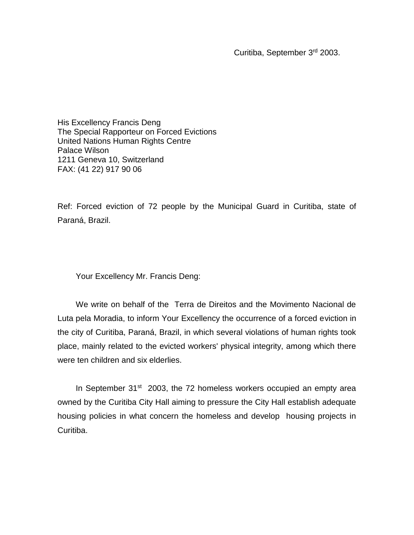Curitiba, September 3rd 2003.

His Excellency Francis Deng The Special Rapporteur on Forced Evictions United Nations Human Rights Centre Palace Wilson 1211 Geneva 10, Switzerland FAX: (41 22) 917 90 06

Ref: Forced eviction of 72 people by the Municipal Guard in Curitiba, state of Paraná, Brazil.

Your Excellency Mr. Francis Deng:

We write on behalf of the Terra de Direitos and the Movimento Nacional de Luta pela Moradia, to inform Your Excellency the occurrence of a forced eviction in the city of Curitiba, Paraná, Brazil, in which several violations of human rights took place, mainly related to the evicted workers' physical integrity, among which there were ten children and six elderlies.

In September 31<sup>st</sup> 2003, the 72 homeless workers occupied an empty area owned by the Curitiba City Hall aiming to pressure the City Hall establish adequate housing policies in what concern the homeless and develop housing projects in Curitiba.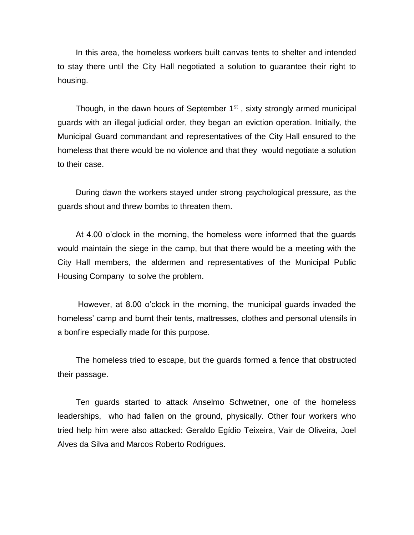In this area, the homeless workers built canvas tents to shelter and intended to stay there until the City Hall negotiated a solution to guarantee their right to housing.

Though, in the dawn hours of September  $1<sup>st</sup>$ , sixty strongly armed municipal guards with an illegal judicial order, they began an eviction operation. Initially, the Municipal Guard commandant and representatives of the City Hall ensured to the homeless that there would be no violence and that they would negotiate a solution to their case.

During dawn the workers stayed under strong psychological pressure, as the guards shout and threw bombs to threaten them.

At 4.00 o'clock in the morning, the homeless were informed that the guards would maintain the siege in the camp, but that there would be a meeting with the City Hall members, the aldermen and representatives of the Municipal Public Housing Company to solve the problem.

However, at 8.00 o'clock in the morning, the municipal guards invaded the homeless' camp and burnt their tents, mattresses, clothes and personal utensils in a bonfire especially made for this purpose.

The homeless tried to escape, but the guards formed a fence that obstructed their passage.

Ten guards started to attack Anselmo Schwetner, one of the homeless leaderships, who had fallen on the ground, physically. Other four workers who tried help him were also attacked: Geraldo Egídio Teixeira, Vair de Oliveira, Joel Alves da Silva and Marcos Roberto Rodrigues.